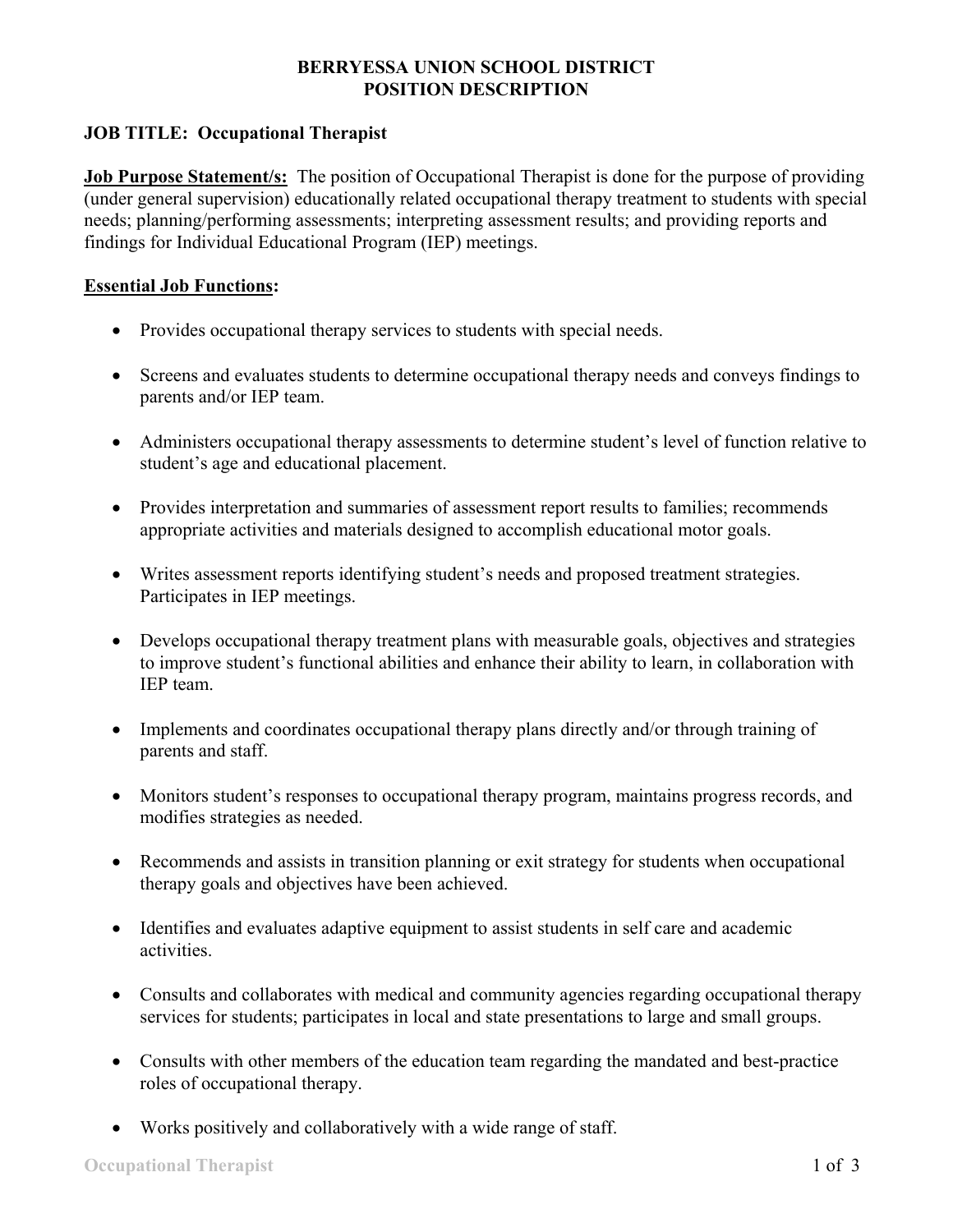# **BERRYESSA UNION SCHOOL DISTRICT POSITION DESCRIPTION**

# **JOB TITLE: Occupational Therapist**

**Job Purpose Statement/s:** The position of Occupational Therapist is done for the purpose of providing (under general supervision) educationally related occupational therapy treatment to students with special needs; planning/performing assessments; interpreting assessment results; and providing reports and findings for Individual Educational Program (IEP) meetings.

#### **Essential Job Functions:**

- Provides occupational therapy services to students with special needs.
- Screens and evaluates students to determine occupational therapy needs and conveys findings to parents and/or IEP team.
- Administers occupational therapy assessments to determine student's level of function relative to student's age and educational placement.
- Provides interpretation and summaries of assessment report results to families; recommends appropriate activities and materials designed to accomplish educational motor goals.
- Writes assessment reports identifying student's needs and proposed treatment strategies. Participates in IEP meetings.
- Develops occupational therapy treatment plans with measurable goals, objectives and strategies to improve student's functional abilities and enhance their ability to learn, in collaboration with IEP team.
- Implements and coordinates occupational therapy plans directly and/or through training of parents and staff.
- Monitors student's responses to occupational therapy program, maintains progress records, and modifies strategies as needed.
- Recommends and assists in transition planning or exit strategy for students when occupational therapy goals and objectives have been achieved.
- Identifies and evaluates adaptive equipment to assist students in self care and academic activities.
- Consults and collaborates with medical and community agencies regarding occupational therapy services for students; participates in local and state presentations to large and small groups.
- Consults with other members of the education team regarding the mandated and best-practice roles of occupational therapy.
- Works positively and collaboratively with a wide range of staff.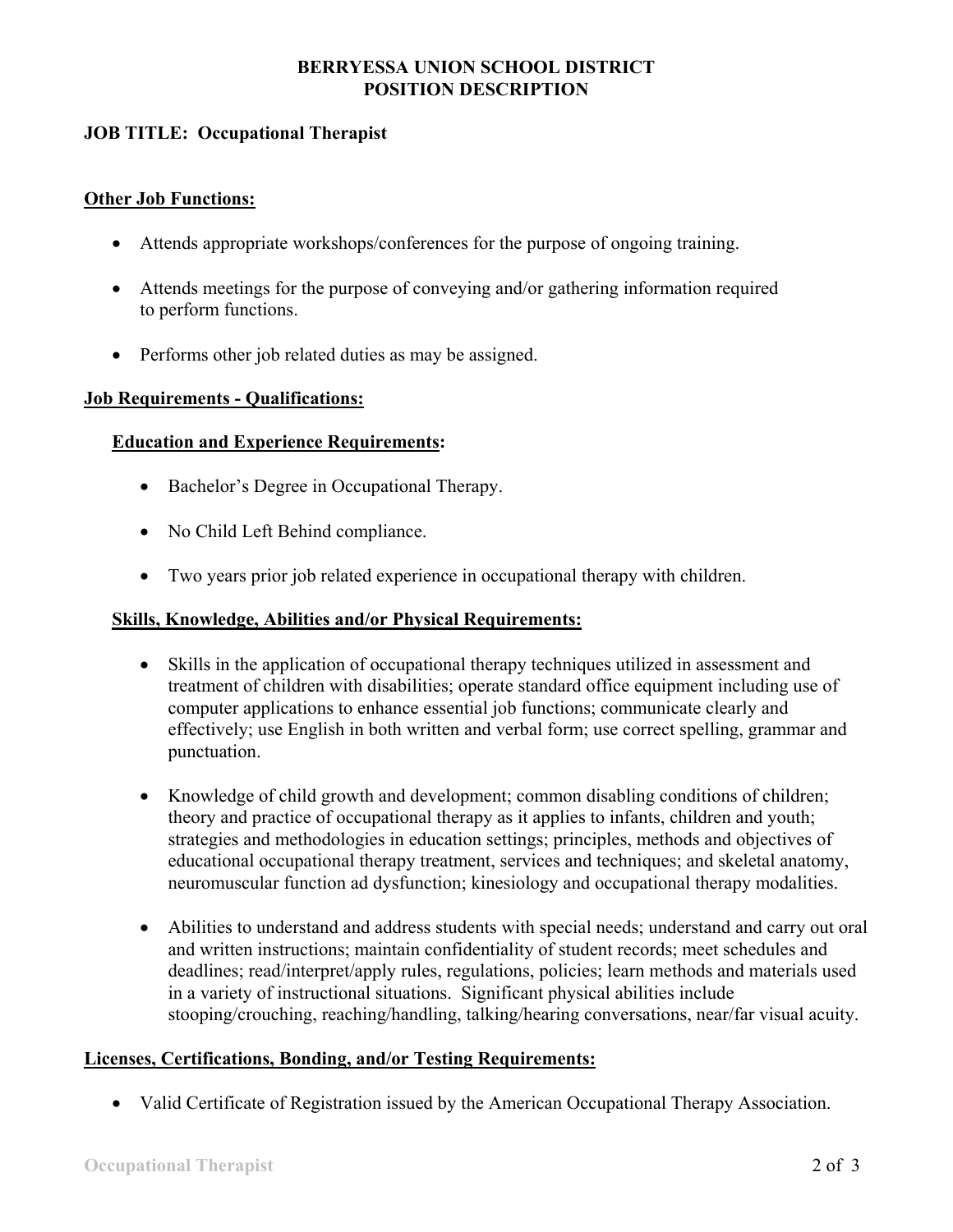# **BERRYESSA UNION SCHOOL DISTRICT POSITION DESCRIPTION**

# **JOB TITLE: Occupational Therapist**

#### **Other Job Functions:**

- Attends appropriate workshops/conferences for the purpose of ongoing training.
- Attends meetings for the purpose of conveying and/or gathering information required to perform functions.
- Performs other job related duties as may be assigned.

#### **Job Requirements - Qualifications:**

## **Education and Experience Requirements:**

- Bachelor's Degree in Occupational Therapy.
- No Child Left Behind compliance.
- Two years prior job related experience in occupational therapy with children.

## **Skills, Knowledge, Abilities and/or Physical Requirements:**

- Skills in the application of occupational therapy techniques utilized in assessment and treatment of children with disabilities; operate standard office equipment including use of computer applications to enhance essential job functions; communicate clearly and effectively; use English in both written and verbal form; use correct spelling, grammar and punctuation.
- Knowledge of child growth and development; common disabling conditions of children; theory and practice of occupational therapy as it applies to infants, children and youth; strategies and methodologies in education settings; principles, methods and objectives of educational occupational therapy treatment, services and techniques; and skeletal anatomy, neuromuscular function ad dysfunction; kinesiology and occupational therapy modalities.
- Abilities to understand and address students with special needs; understand and carry out oral and written instructions; maintain confidentiality of student records; meet schedules and deadlines; read/interpret/apply rules, regulations, policies; learn methods and materials used in a variety of instructional situations. Significant physical abilities include stooping/crouching, reaching/handling, talking/hearing conversations, near/far visual acuity.

## **Licenses, Certifications, Bonding, and/or Testing Requirements:**

• Valid Certificate of Registration issued by the American Occupational Therapy Association.